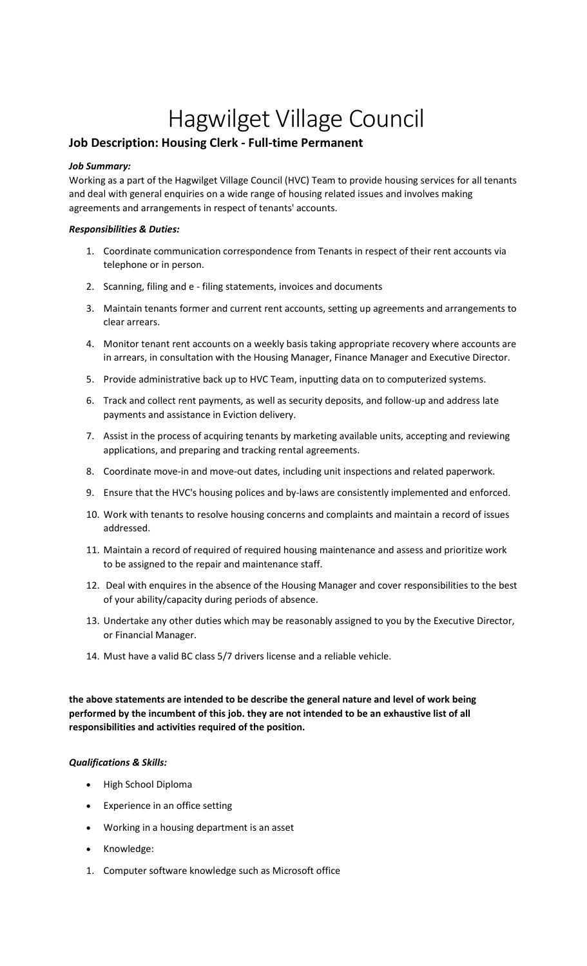# Hagwilget Village Council

## **Job Description: Housing Clerk - Full-time Permanent**

#### *Job Summary:*

Working as a part of the Hagwilget Village Council (HVC) Team to provide housing services for all tenants and deal with general enquiries on a wide range of housing related issues and involves making agreements and arrangements in respect of tenants' accounts.

#### *Responsibilities & Duties:*

- 1. Coordinate communication correspondence from Tenants in respect of their rent accounts via telephone or in person.
- 2. Scanning, filing and e filing statements, invoices and documents
- 3. Maintain tenants former and current rent accounts, setting up agreements and arrangements to clear arrears.
- 4. Monitor tenant rent accounts on a weekly basis taking appropriate recovery where accounts are in arrears, in consultation with the Housing Manager, Finance Manager and Executive Director.
- 5. Provide administrative back up to HVC Team, inputting data on to computerized systems.
- 6. Track and collect rent payments, as well as security deposits, and follow-up and address late payments and assistance in Eviction delivery.
- 7. Assist in the process of acquiring tenants by marketing available units, accepting and reviewing applications, and preparing and tracking rental agreements.
- 8. Coordinate move-in and move-out dates, including unit inspections and related paperwork.
- 9. Ensure that the HVC's housing polices and by-laws are consistently implemented and enforced.
- 10. Work with tenants to resolve housing concerns and complaints and maintain a record of issues addressed.
- 11. Maintain a record of required of required housing maintenance and assess and prioritize work to be assigned to the repair and maintenance staff.
- 12. Deal with enquires in the absence of the Housing Manager and cover responsibilities to the best of your ability/capacity during periods of absence.
- 13. Undertake any other duties which may be reasonably assigned to you by the Executive Director, or Financial Manager.
- 14. Must have a valid BC class 5/7 drivers license and a reliable vehicle.

**the above statements are intended to be describe the general nature and level of work being performed by the incumbent of this job. they are not intended to be an exhaustive list of all responsibilities and activities required of the position.**

### *Qualifications & Skills:*

- High School Diploma
- Experience in an office setting
- Working in a housing department is an asset
- Knowledge:
- 1. Computer software knowledge such as Microsoft office